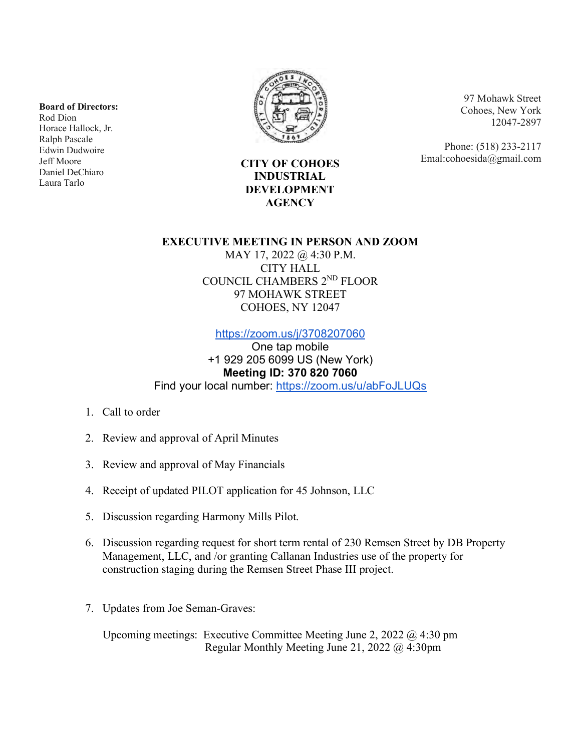**Board of Directors:**

Rod Dion Horace Hallock, Jr. Ralph Pascale Edwin Dudwoire Jeff Moore Daniel DeChiaro Laura Tarlo



97 Mohawk Street Cohoes, New York 12047-2897

Phone: (518) 233-2117 Emal:cohoesida@gmail.com

**CITY OF COHOES INDUSTRIAL DEVELOPMENT AGENCY**

## **EXECUTIVE MEETING IN PERSON AND ZOOM**

MAY 17, 2022 @ 4:30 P.M. CITY HALL COUNCIL CHAMBERS 2ND FLOOR 97 MOHAWK STREET COHOES, NY 12047

<https://zoom.us/j/3708207060>

One tap mobile +1 929 205 6099 US (New York) **Meeting ID: 370 820 7060** Find your local number: <https://zoom.us/u/abFoJLUQs>

- 1. Call to order
- 2. Review and approval of April Minutes
- 3. Review and approval of May Financials
- 4. Receipt of updated PILOT application for 45 Johnson, LLC
- 5. Discussion regarding Harmony Mills Pilot.
- 6. Discussion regarding request for short term rental of 230 Remsen Street by DB Property Management, LLC, and /or granting Callanan Industries use of the property for construction staging during the Remsen Street Phase III project.
- 7. Updates from Joe Seman-Graves:

 Upcoming meetings: Executive Committee Meeting June 2, 2022 @ 4:30 pm Regular Monthly Meeting June 21, 2022 @ 4:30pm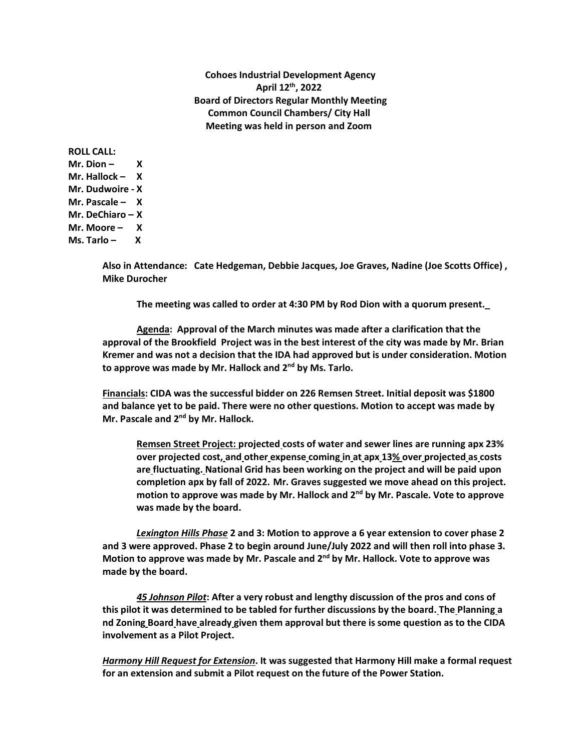**Cohoes Industrial Development Agency April 12th, 2022 Board of Directors Regular Monthly Meeting Common Council Chambers/ City Hall Meeting was held in person and Zoom** 

**ROLL CALL:**  $Mr.  $Dion - X$$ **Mr. Hallock – X Mr. Dudwoire - X Mr. Pascale – X Mr. DeChiaro – X Mr. Moore – X Ms. Tarlo – X** 

> **Also in Attendance: Cate Hedgeman, Debbie Jacques, Joe Graves, Nadine (Joe Scotts Office) , Mike Durocher**

**The meeting was called to order at 4:30 PM by Rod Dion with a quorum present.\_**

**Agenda: Approval of the March minutes was made after a clarification that the approval of the Brookfield Project was in the best interest of the city was made by Mr. Brian Kremer and was not a decision that the IDA had approved but is under consideration. Motion to approve was made by Mr. Hallock and 2nd by Ms. Tarlo.** 

**Financials: CIDA was the successful bidder on 226 Remsen Street. Initial deposit was \$1800 and balance yet to be paid. There were no other questions. Motion to accept was made by Mr. Pascale and 2nd by Mr. Hallock.** 

**Remsen Street Project: projected costs of water and sewer lines are running apx 23% over projected cost, and other expense coming in at apx 13% over projected as costs are fluctuating. National Grid has been working on the project and will be paid upon completion apx by fall of 2022. Mr. Graves suggested we move ahead on this project. motion to approve was made by Mr. Hallock and 2nd by Mr. Pascale. Vote to approve was made by the board.** 

*Lexington Hills Phase* **2 and 3: Motion to approve a 6 year extension to cover phase 2 and 3 were approved. Phase 2 to begin around June/July 2022 and will then roll into phase 3. Motion to approve was made by Mr. Pascale and 2nd by Mr. Hallock. Vote to approve was made by the board.** 

*45 Johnson Pilot***: After a very robust and lengthy discussion of the pros and cons of this pilot it was determined to be tabled for further discussions by the board. The Planning a nd Zoning Board have already given them approval but there is some question as to the CIDA involvement as a Pilot Project.** 

*Harmony Hill Request for Extension***. It was suggested that Harmony Hill make a formal request for an extension and submit a Pilot request on the future of the Power Station.**